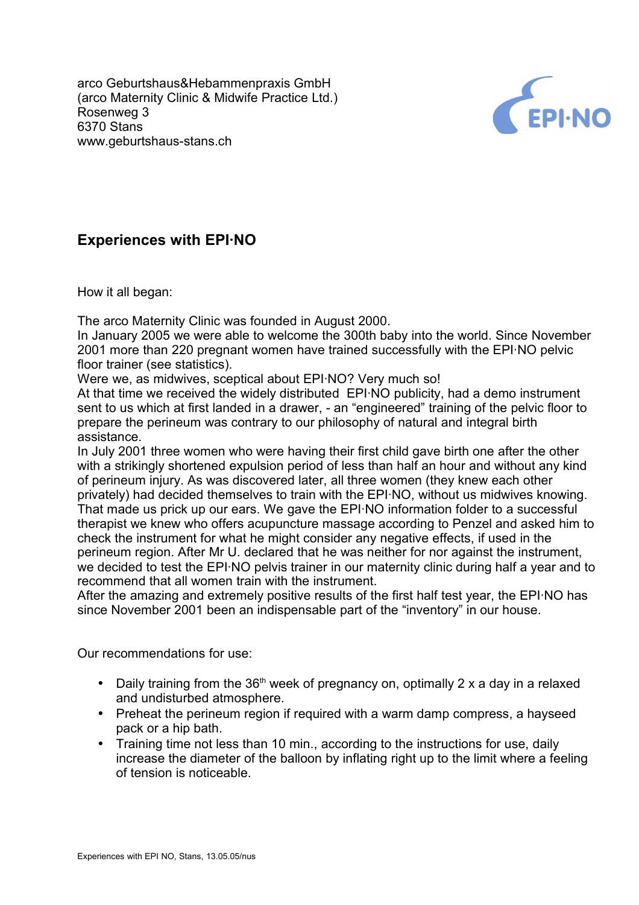arco Geburtshaus&Hebammenpraxis GmbH (arco Maternity Clinic & Midwife Practice Ltd.) Rosenweg 3 6370 Stans www.geburtshaus-stans.ch



## **Experiences with EPI·NO**

How it all began:

The arco Maternity Clinic was founded in August 2000.

In January 2005 we were able to welcome the 300th baby into the world. Since November 2001 more than 220 pregnant women have trained successfully with the EPI·NO pelvic floor trainer (see statistics).

Were we, as midwives, sceptical about EPI·NO? Very much so!

At that time we received the widely distributed EPI·NO publicity, had a demo instrument sent to us which at first landed in a drawer, - an "engineered" training of the pelvic floor to prepare the perineum was contrary to our philosophy of natural and integral birth assistance.

In July 2001 three women who were having their first child gave birth one after the other with a strikingly shortened expulsion period of less than half an hour and without any kind of perineum injury. As was discovered later, all three women (they knew each other privately) had decided themselves to train with the EPI·NO, without us midwives knowing. That made us prick up our ears. We gave the EPI·NO information folder to a successful therapist we knew who offers acupuncture massage according to Penzel and asked him to check the instrument for what he might consider any negative effects, if used in the perineum region. After Mr U. declared that he was neither for nor against the instrument, we decided to test the EPI·NO pelvis trainer in our maternity clinic during half a year and to recommend that all women train with the instrument.

After the amazing and extremely positive results of the first half test year, the EPI·NO has since November 2001 been an indispensable part of the "inventory" in our house.

Our recommendations for use:

- Daily training from the  $36<sup>th</sup>$  week of pregnancy on, optimally 2 x a day in a relaxed and undisturbed atmosphere.
- Preheat the perineum region if required with a warm damp compress, a hayseed pack or a hip bath.
- Training time not less than 10 min., according to the instructions for use, daily increase the diameter of the balloon by inflating right up to the limit where a feeling of tension is noticeable.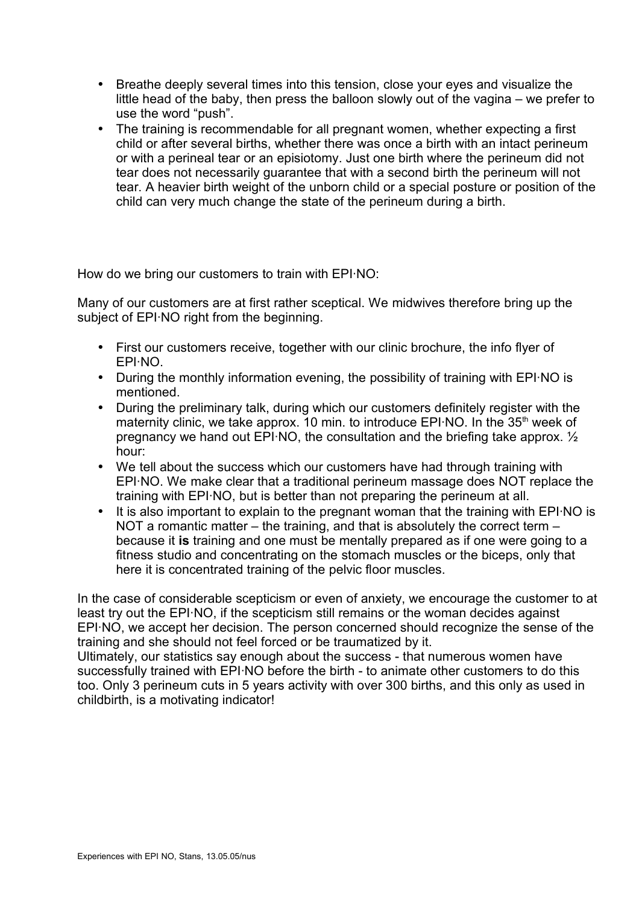- Breathe deeply several times into this tension, close your eyes and visualize the little head of the baby, then press the balloon slowly out of the vagina – we prefer to use the word "push".
- The training is recommendable for all pregnant women, whether expecting a first child or after several births, whether there was once a birth with an intact perineum or with a perineal tear or an episiotomy. Just one birth where the perineum did not tear does not necessarily guarantee that with a second birth the perineum will not tear. A heavier birth weight of the unborn child or a special posture or position of the child can very much change the state of the perineum during a birth.

How do we bring our customers to train with EPI·NO:

Many of our customers are at first rather sceptical. We midwives therefore bring up the subject of EPI·NO right from the beginning.

- First our customers receive, together with our clinic brochure, the info flyer of EPI·NO.
- During the monthly information evening, the possibility of training with EPI·NO is mentioned.
- During the preliminary talk, during which our customers definitely register with the maternity clinic, we take approx. 10 min. to introduce EPI·NO. In the 35<sup>th</sup> week of pregnancy we hand out EPI·NO, the consultation and the briefing take approx. ½ hour:
- We tell about the success which our customers have had through training with EPI·NO. We make clear that a traditional perineum massage does NOT replace the training with EPI·NO, but is better than not preparing the perineum at all.
- It is also important to explain to the pregnant woman that the training with EPI·NO is NOT a romantic matter – the training, and that is absolutely the correct term – because it **is** training and one must be mentally prepared as if one were going to a fitness studio and concentrating on the stomach muscles or the biceps, only that here it is concentrated training of the pelvic floor muscles.

In the case of considerable scepticism or even of anxiety, we encourage the customer to at least try out the EPI·NO, if the scepticism still remains or the woman decides against EPI·NO, we accept her decision. The person concerned should recognize the sense of the training and she should not feel forced or be traumatized by it.

Ultimately, our statistics say enough about the success - that numerous women have successfully trained with EPI·NO before the birth - to animate other customers to do this too. Only 3 perineum cuts in 5 years activity with over 300 births, and this only as used in childbirth, is a motivating indicator!